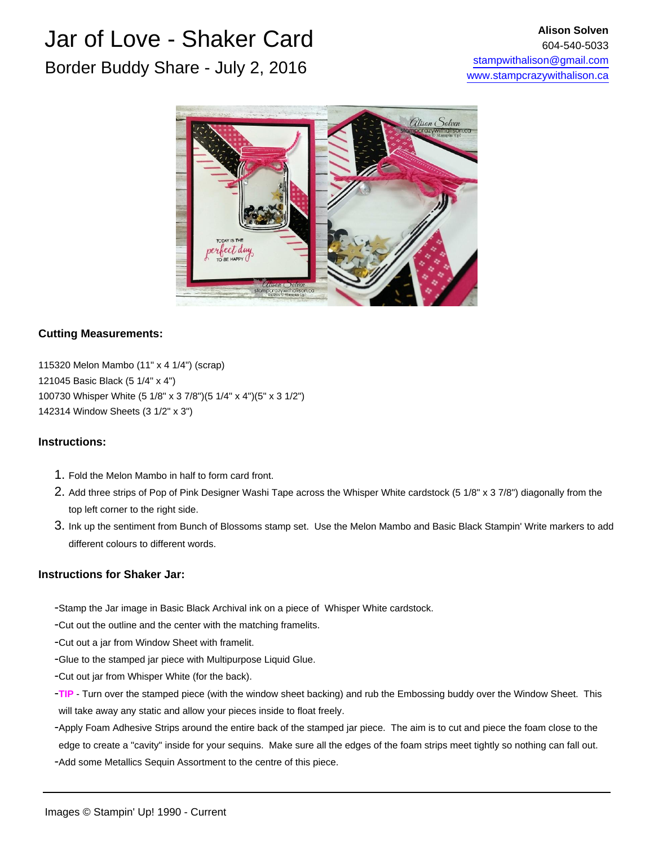

### **Cutting Measurements:**

115320 Melon Mambo (11" x 4 1/4") (scrap) 121045 Basic Black (5 1/4" x 4") 100730 Whisper White (5 1/8" x 3 7/8")(5 1/4" x 4")(5" x 3 1/2") 142314 Window Sheets (3 1/2" x 3")

#### **Instructions:**

- 1. Fold the Melon Mambo in half to form card front.
- 2. Add three strips of Pop of Pink Designer Washi Tape across the Whisper White cardstock (5 1/8" x 3 7/8") diagonally from the top left corner to the right side.
- 3. Ink up the sentiment from Bunch of Blossoms stamp set. Use the Melon Mambo and Basic Black Stampin' Write markers to add different colours to different words.

#### **Instructions for Shaker Jar:**

- Stamp the Jar image in Basic Black Archival ink on a piece of Whisper White cardstock.
- Cut out the outline and the center with the matching framelits.
- Cut out a jar from Window Sheet with framelit.
- Glue to the stamped jar piece with Multipurpose Liquid Glue.
- Cut out jar from Whisper White (for the back).
- **TIP** Turn over the stamped piece (with the window sheet backing) and rub the Embossing buddy over the Window Sheet. This will take away any static and allow your pieces inside to float freely.
- Apply Foam Adhesive Strips around the entire back of the stamped jar piece. The aim is to cut and piece the foam close to the - Add some Metallics Sequin Assortment to the centre of this piece. edge to create a "cavity" inside for your sequins. Make sure all the edges of the foam strips meet tightly so nothing can fall out.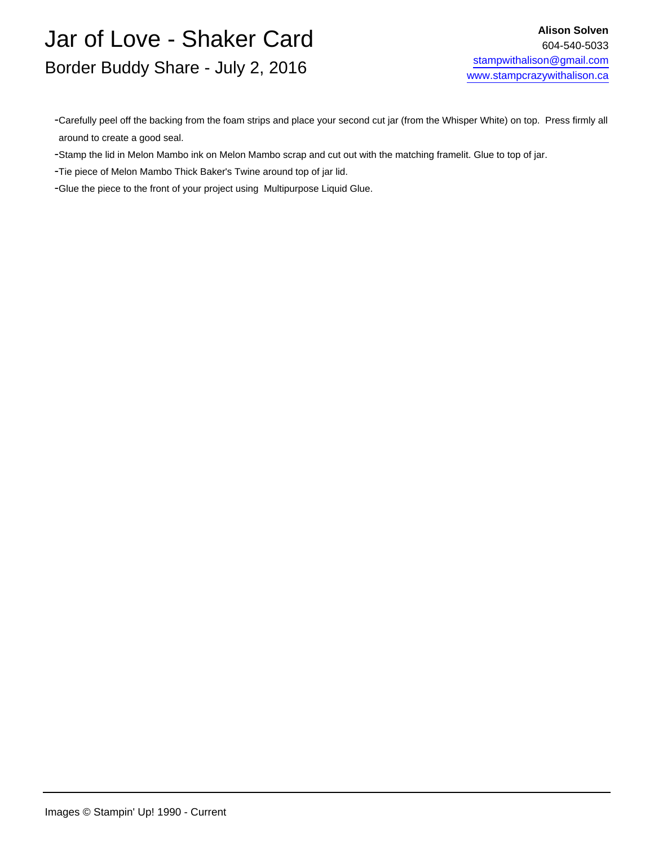- Carefully peel off the backing from the foam strips and place your second cut jar (from the Whisper White) on top. Press firmly all around to create a good seal.

- Stamp the lid in Melon Mambo ink on Melon Mambo scrap and cut out with the matching framelit. Glue to top of jar.

- Tie piece of Melon Mambo Thick Baker's Twine around top of jar lid.

- Glue the piece to the front of your project using Multipurpose Liquid Glue.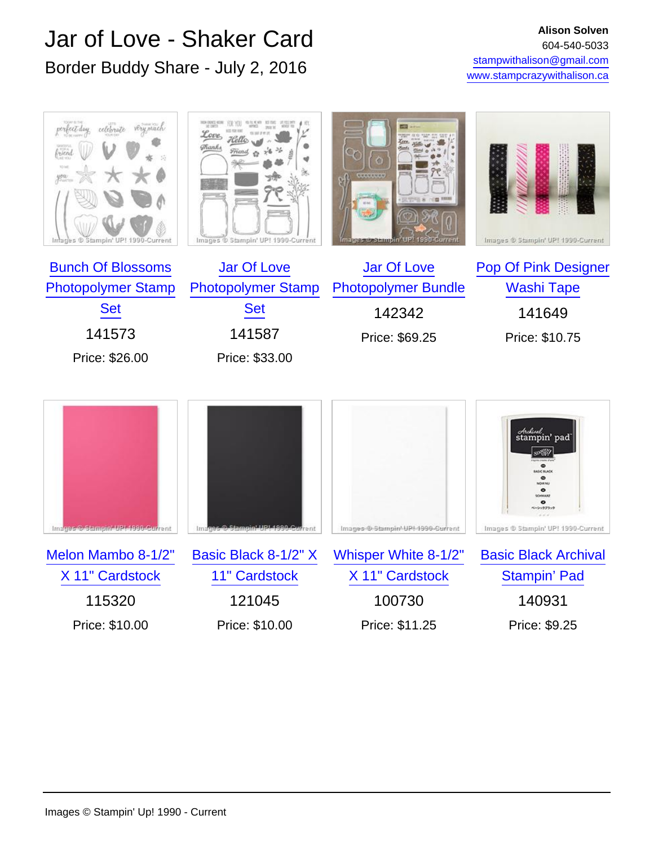